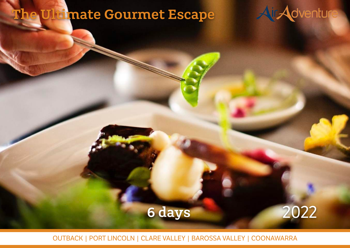# The Ultimate Gourmet Escape

Day 1: Melbourne, Essendon – Birdsville

venturing off road to the largest sand dune in the Simpson Desert 'Big Red'. En our 'perch' in the iconic beer from your 'perch' in the iconic between the interest of the Birdsville Pub and absorb the outback culture. Dinner tonight is in the pub's dining room where you will meet travellers that have

Leaving Melbourne fly north to Broken Hill for morning tea, then continue north to Birdsville. Explore the town, hallowed ground of the Birdsville racetrack before



Time to rest; accommodation tonight is at the Birdsville Lodge.

Day 2: Birdsville – Mt Isa – Adels Grove, Lawn Hill National Park

One of the great things about Birdsville is that the Hotel is just across the road from the airport, literally! Fly north to Mt Isa where, prior to landing you are given a great view of the gigantic Mount Isa Mine. Farewell civilisation as your pilot flies of the gigantic flies of you over called station country before the oasis that is Adelising down in the oasis of the oasis of the oasis Grove. On arrival you are taken on a guided adventure into Lawn Hill National Park, with an opportunity to stroll to the Cascades prior to your over-water

To the tonight your ensuite cabins at Adel's Grove, and additional position at Adel's Grove, and

Flight time 3hrs 40mins total (2 flights).

journey, paddling through the peaceful gorge.

Flight time 2hrs 10mins total (2 flights).

# 6 days 2022

OUTBACK | PORT LINCOLN | CLARE VALLEY | BAROSSA VALLEY | COONAWARRA

pristing the stream.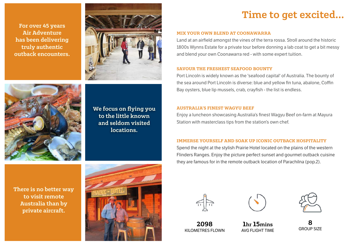For over 45 years Air Adventure has been delivering truly authentic outback encounters.



We focus on flying you to the little known and seldom visited locations.

There is no better way to visit remote Australia than by private aircraft.



### Time to get excited…

#### MIX YOUR OWN BLEND AT COONAWARRA

Land at an airfield amongst the vines of the terra rossa. Stroll around the historic 1800s Wynns Estate for a private tour before donning a lab coat to get a bit messy and blend your own Coonawarra red - with some expert tuition.

#### SAVOUR THE FRESHEST SEAFOOD BOUNTY

Port Lincoln is widely known as the 'seafood capital' of Australia. The bounty of the sea around Port Lincoln is diverse: blue and yellow fin tuna, abalone, Coffin Bay oysters, blue lip mussels, crab, crayfish - the list is endless.

#### AUSTRALIA'S FINEST WAGYU BEEF

Enjoy a luncheon showcasing Australia's finest Wagyu Beef on-farm at Mayura Station with masterclass tips from the station's own chef.

#### IMMERSE YOURSELF AND SOAK UP ICONIC OUTBACK HOSPITALITY

Spend the night at the stylish Prairie Hotel located on the plains of the western Flinders Ranges. Enjoy the picture perfect sunset and gourmet outback cuisine they are famous for in the remote outback location of Parachilna (pop.2).





2098 KILOMETRES FLOWN

1hr 15mins AVG FLIGHT TIME



8 GROUP SIZE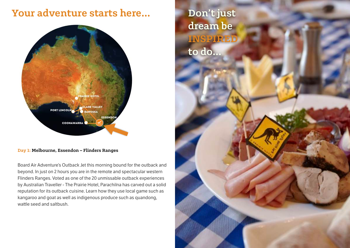### Your adventure starts here…



#### Day 1: Melbourne, Essendon – Flinders Ranges

Board Air Adventure's Outback Jet this morning bound for the outback and beyond. In just on 2 hours you are in the remote and spectacular western Flinders Ranges. Voted as one of the 20 unmissable outback experiences by Australian Traveller - The Prairie Hotel, Parachilna has carved out a solid reputation for its outback cuisine. Learn how they use local game such as kangaroo and goat as well as indigenous produce such as quandong, wattle seed and saltbush.

Don't just dream be INSPIRED to do…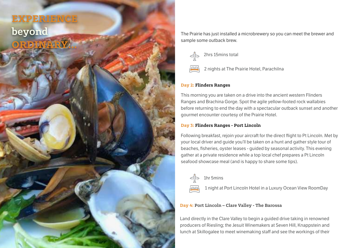### EXPERIENCE beyond ORDINARY…

The Prairie has just installed a microbrewery so you can meet the brewer and sample some outback brew.



2 nights at The Prairie Hotel, Parachilna

### Day 2: Flinders Ranges

This morning you are taken on a drive into the ancient western Flinders Ranges and Brachina Gorge. Spot the agile yellow-footed rock wallabies before returning to end the day with a spectacular outback sunset and another gourmet encounter courtesy of the Prairie Hotel.

### Day 3: Flinders Ranges - Port Lincoln

Following breakfast, rejoin your aircraft for the direct flight to Pt Lincoln. Met by your local driver and guide you'll be taken on a hunt and gather style tour of beaches, fisheries, oyster leases - guided by seasonal activity. This evening gather at a private residence while a top local chef prepares a Pt Lincoln seafood showcase meal (and is happy to share some tips).



1hr 5mins

1 night at Port Lincoln Hotel in a Luxury Ocean View RoomDay

### Day 4: Port Lincoln – Clare Valley - The Barossa

Land directly in the Clare Valley to begin a guided drive taking in renowned producers of Riesling; the Jesuit Winemakers at Seven Hill, Knappstein and lunch at Skillogalee to meet winemaking staff and see the workings of their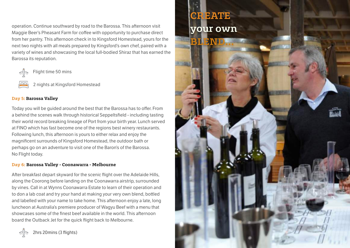operation. Continue southward by road to the Barossa. This afternoon visit Maggie Beer's Pheasant Farm for coffee with opportunity to purchase direct from her pantry. This afternoon check in to Kingsford Homestead, yours for the next two nights with all meals prepared by Kingsford's own chef, paired with a variety of wines and showcasing the local full-bodied Shiraz that has earned the Barossa its reputation.



Flight time 50 mins

2 nights at Kingsford Homestead

### Day 5: Barossa Valley

Today you will be guided around the best that the Barossa has to offer. From a behind the scenes walk through historical Seppeltsfield - including tasting their world record breaking lineage of Port from your birth year. Lunch served at FINO which has fast become one of the regions best winery restaurants. Following lunch, this afternoon is yours to either relax and enjoy the magnificent surrounds of Kingsford Homestead, the outdoor bath or perhaps go on an adventure to visit one of the Baron's of the Barossa. No Flight today.

### Day 6: Barossa Valley - Coonawarra - Melbourne

After breakfast depart skyward for the scenic flight over the Adelaide Hills, along the Coorong before landing on the Coonawarra airstrip, surrounded by vines. Call in at Wynns Coonawarra Estate to learn of their operation and to don a lab coat and try your hand at making your very own blend, bottled and labelled with your name to take home. This afternoon enjoy a late, long luncheon at Australia's premiere producer of Wagyu Beef with a menu that showcases some of the finest beef available in the world. This afternoon board the Outback Jet for the quick flight back to Melbourne.



### **EATE** your own

BLEND…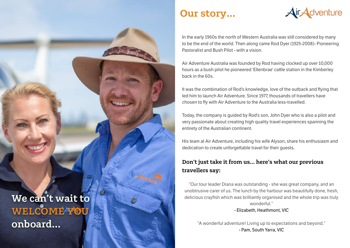### Our story…



In the early 1960s the north of Western Australia was still considered by many to be the end of the world. Then along came Rod Dyer (1925-2008)- Pioneering Pastoralist and Bush Pilot - with a vision.

Air Adventure Australia was founded by Rod having clocked up over 10,000 hours as a bush pilot he pioneered 'Ellenbrae' cattle station in the Kimberley back in the 60s.

It was the combination of Rod's knowledge, love of the outback and flying that led him to launch Air Adventure. Since 1977, thousands of travellers have chosen to fly with Air Adventure to the Australia less-travelled.

Today, the company is guided by Rod's son, John Dyer who is also a pilot and very passionate about creating high quality travel experiences spanning the entirety of the Australian continent.

His team at Air Adventure, including his wife Alyson, share his enthusiasm and dedication to create unforgettable travel for their quests.

### Don't just take it from us… here's what our previous travellers say:

"Our tour leader Diana was outstanding - she was great company, and an unobtrusive carer of us. The lunch by the harbour was beautifully done, fresh, delicious crayfish which was brilliantly organised and the whole trip was truly wonderful." - Elizabeth, Heathmont, VIC

"A wonderful adventure! Living up to expectations and beyond." - Pam, South Yarra, VIC

We can't wait to WELCOME<sup>N</sup>OU onboard…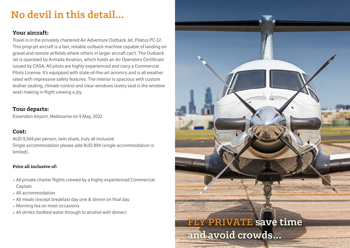## No devil in this detail…

### Your aircraft:

Travel is in the privately chartered Air Adventure Outback Jet, Pilatus PC-12. This prop-jet aircraft is a fast, reliable outback machine capable of landing on gravel and remote airfields where others in larger aircraft can't. The Outback Jet is operated by Armada Aviation, which holds an Air Operators Certificate issued by CASA. All pilots are highly experienced and carry a Commercial Pilots License. It's equipped with state-of-the-art avionics and is all weather rated with impressive safety features. The interior is spacious with custom leather seating, climate control and clear windows (every seat is the window seat) making in flight viewing a joy.

### Tour departs:

Essendon Airport, Melbourne on 9 May, 2022

### Cost:

AUD 9,344 per person, twin share, truly all inclusive Single accommodation please add AUD 894 (single accommodation is limited).

### Price all inclusive of:

- All private charter flights crewed by a highly experienced Commercial **Captain**
- All accommodation
- All meals (except breakfast day one & dinner on final day.
- Morning tea on most occasions
- All drinks (bottled water through to alcohol with dinner)

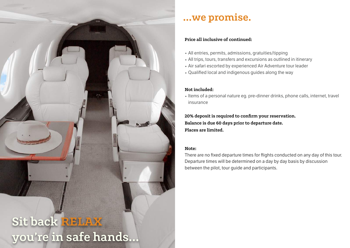

### …we promise.

### Price all inclusive of continued:

- All entries, permits, admissions, gratuities/tipping
- All trips, tours, transfers and excursions as outlined in itinerary
- Air safari escorted by experienced Air Adventure tour leader
- Qualified local and indigenous guides along the way

### Not included:

• Items of a personal nature eg. pre-dinner drinks, phone calls, internet, travel insurance

20% deposit is required to confirm your reservation. Balance is due 60 days prior to departure date. Places are limited.

### Note:

There are no fixed departure times for flights conducted on any day of this tour. Departure times will be determined on a day by day basis by discussion between the pilot, tour guide and participants.